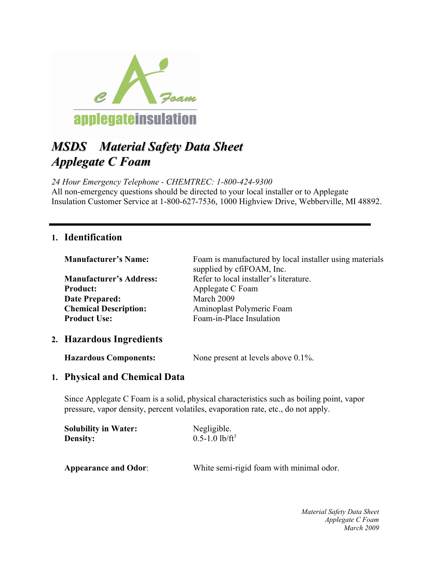

# *MSDS Material Safety Data Sheet Applegate C Foam*

*24 Hour Emergency Telephone - CHEMTREC: 1-800-424-9300* All non-emergency questions should be directed to your local installer or to Applegate Insulation Customer Service at 1-800-627-7536, 1000 Highview Drive, Webberville, MI 48892.

#### **1. Identification**

| <b>Manufacturer's Name:</b>    | Foam is manufactured by local installer using materials<br>supplied by cfiFOAM, Inc. |
|--------------------------------|--------------------------------------------------------------------------------------|
| <b>Manufacturer's Address:</b> | Refer to local installer's literature.                                               |
| <b>Product:</b>                | Applegate C Foam                                                                     |
| <b>Date Prepared:</b>          | March 2009                                                                           |
| <b>Chemical Description:</b>   | Aminoplast Polymeric Foam                                                            |
| <b>Product Use:</b>            | Foam-in-Place Insulation                                                             |
|                                |                                                                                      |

#### **2. Hazardous Ingredients**

**Hazardous Components:** None present at levels above 0.1%.

#### **1. Physical and Chemical Data**

Since Applegate C Foam is a solid, physical characteristics such as boiling point, vapor pressure, vapor density, percent volatiles, evaporation rate, etc., do not apply.

| <b>Solubility in Water:</b> | Negligible.                              |
|-----------------------------|------------------------------------------|
| <b>Density:</b>             | $0.5 - 1.0$ lb/ft <sup>3</sup>           |
| <b>Appearance and Odor:</b> | White semi-rigid foam with minimal odor. |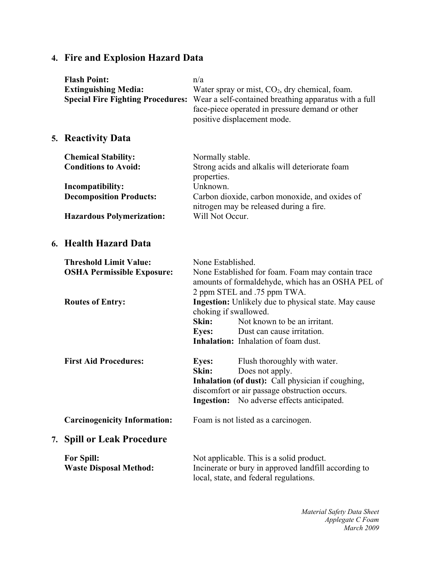## **4. Fire and Explosion Hazard Data**

|    | <b>Flash Point:</b><br><b>Extinguishing Media:</b><br><b>Special Fire Fighting Procedures:</b> | n/a                                                                                                   | Water spray or mist, $CO2$ , dry chemical, foam.<br>Wear a self-contained breathing apparatus with a full<br>face-piece operated in pressure demand or other<br>positive displacement mode.         |
|----|------------------------------------------------------------------------------------------------|-------------------------------------------------------------------------------------------------------|-----------------------------------------------------------------------------------------------------------------------------------------------------------------------------------------------------|
|    | 5. Reactivity Data                                                                             |                                                                                                       |                                                                                                                                                                                                     |
|    | <b>Chemical Stability:</b><br><b>Conditions to Avoid:</b>                                      | Normally stable.<br>properties.                                                                       | Strong acids and alkalis will deteriorate foam                                                                                                                                                      |
|    | Incompatibility:<br><b>Decomposition Products:</b>                                             | Unknown.<br>Carbon dioxide, carbon monoxide, and oxides of<br>nitrogen may be released during a fire. |                                                                                                                                                                                                     |
|    | <b>Hazardous Polymerization:</b>                                                               | Will Not Occur.                                                                                       |                                                                                                                                                                                                     |
|    | 6. Health Hazard Data                                                                          |                                                                                                       |                                                                                                                                                                                                     |
|    | <b>Threshold Limit Value:</b><br><b>OSHA Permissible Exposure:</b>                             | None Established.                                                                                     | None Established for foam. Foam may contain trace<br>amounts of formaldehyde, which has an OSHA PEL of                                                                                              |
|    | <b>Routes of Entry:</b>                                                                        | choking if swallowed.<br>Skin:<br><b>Eyes:</b>                                                        | 2 ppm STEL and .75 ppm TWA.<br><b>Ingestion:</b> Unlikely due to physical state. May cause<br>Not known to be an irritant.<br>Dust can cause irritation.<br>Inhalation: Inhalation of foam dust.    |
|    | <b>First Aid Procedures:</b>                                                                   | <b>Eyes:</b><br>Skin:                                                                                 | Flush thoroughly with water.<br>Does not apply.<br>Inhalation (of dust): Call physician if coughing,<br>discomfort or air passage obstruction occurs.<br>Ingestion: No adverse effects anticipated. |
|    | <b>Carcinogenicity Information:</b>                                                            |                                                                                                       | Foam is not listed as a carcinogen.                                                                                                                                                                 |
| 7. | <b>Spill or Leak Procedure</b>                                                                 |                                                                                                       |                                                                                                                                                                                                     |
|    | <b>For Spill:</b><br><b>Waste Disposal Method:</b>                                             |                                                                                                       | Not applicable. This is a solid product.<br>Incinerate or bury in approved landfill according to<br>local, state, and federal regulations.                                                          |
|    |                                                                                                |                                                                                                       |                                                                                                                                                                                                     |

*Material Safety Data Sheet Applegate C Foam March 2009*